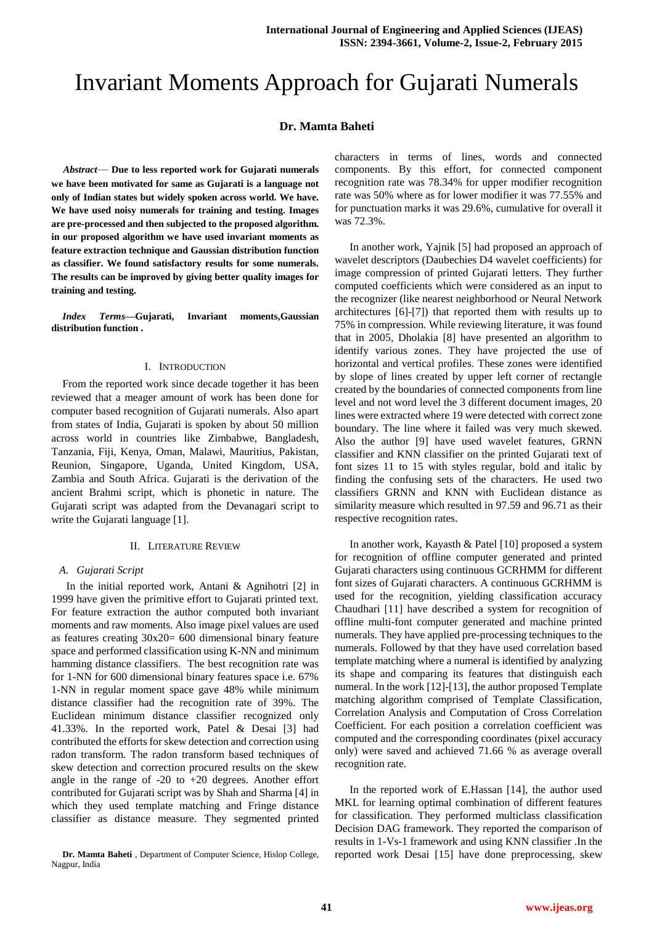# Invariant Moments Approach for Gujarati Numerals

# **Dr. Mamta Baheti**

*Abstract*— **Due to less reported work for Gujarati numerals we have been motivated for same as Gujarati is a language not only of Indian states but widely spoken across world. We have. We have used noisy numerals for training and testing. Images are pre-processed and then subjected to the proposed algorithm. in our proposed algorithm we have used invariant moments as feature extraction technique and Gaussian distribution function as classifier. We found satisfactory results for some numerals. The results can be improved by giving better quality images for training and testing.** 

*Index Terms***—Gujarati, Invariant moments,Gaussian distribution function .** 

#### I. INTRODUCTION

From the reported work since decade together it has been reviewed that a meager amount of work has been done for computer based recognition of Gujarati numerals. Also apart from states of India, Gujarati is spoken by about 50 million across world in countries like Zimbabwe, Bangladesh, Tanzania, Fiji, Kenya, Oman, Malawi, Mauritius, Pakistan, Reunion, Singapore, Uganda, United Kingdom, USA, Zambia and South Africa. Gujarati is the derivation of the ancient Brahmi script, which is phonetic in nature. The Gujarati script was adapted from the Devanagari script to write the Gujarati language [1].

## II. LITERATURE REVIEW

## *A. Gujarati Script*

In the initial reported work, Antani & Agnihotri [2] in 1999 have given the primitive effort to Gujarati printed text. For feature extraction the author computed both invariant moments and raw moments. Also image pixel values are used as features creating 30x20= 600 dimensional binary feature space and performed classification using K-NN and minimum hamming distance classifiers. The best recognition rate was for 1-NN for 600 dimensional binary features space i.e. 67% 1-NN in regular moment space gave 48% while minimum distance classifier had the recognition rate of 39%. The Euclidean minimum distance classifier recognized only 41.33%. In the reported work, Patel & Desai [3] had contributed the efforts for skew detection and correction using radon transform. The radon transform based techniques of skew detection and correction procured results on the skew angle in the range of  $-20$  to  $+20$  degrees. Another effort contributed for Gujarati script was by Shah and Sharma [4] in which they used template matching and Fringe distance classifier as distance measure. They segmented printed

**Dr. Mamta Baheti** , Department of Computer Science, Hislop College, Nagpur, India

characters in terms of lines, words and connected components. By this effort, for connected component recognition rate was 78.34% for upper modifier recognition rate was 50% where as for lower modifier it was 77.55% and for punctuation marks it was 29.6%, cumulative for overall it was 72.3%.

In another work, Yajnik [5] had proposed an approach of wavelet descriptors (Daubechies D4 wavelet coefficients) for image compression of printed Gujarati letters. They further computed coefficients which were considered as an input to the recognizer (like nearest neighborhood or Neural Network architectures [6]-[7]) that reported them with results up to 75% in compression. While reviewing literature, it was found that in 2005, Dholakia [8] have presented an algorithm to identify various zones. They have projected the use of horizontal and vertical profiles. These zones were identified by slope of lines created by upper left corner of rectangle created by the boundaries of connected components from line level and not word level the 3 different document images, 20 lines were extracted where 19 were detected with correct zone boundary. The line where it failed was very much skewed. Also the author [9] have used wavelet features, GRNN classifier and KNN classifier on the printed Gujarati text of font sizes 11 to 15 with styles regular, bold and italic by finding the confusing sets of the characters. He used two classifiers GRNN and KNN with Euclidean distance as similarity measure which resulted in 97.59 and 96.71 as their respective recognition rates.

In another work, Kayasth & Patel [10] proposed a system for recognition of offline computer generated and printed Gujarati characters using continuous GCRHMM for different font sizes of Gujarati characters. A continuous GCRHMM is used for the recognition, yielding classification accuracy Chaudhari [11] have described a system for recognition of offline multi-font computer generated and machine printed numerals. They have applied pre-processing techniques to the numerals. Followed by that they have used correlation based template matching where a numeral is identified by analyzing its shape and comparing its features that distinguish each numeral. In the work [12]-[13], the author proposed Template matching algorithm comprised of Template Classification, Correlation Analysis and Computation of Cross Correlation Coefficient. For each position a correlation coefficient was computed and the corresponding coordinates (pixel accuracy only) were saved and achieved 71.66 % as average overall recognition rate.

In the reported work of E.Hassan [14], the author used MKL for learning optimal combination of different features for classification. They performed multiclass classification Decision DAG framework. They reported the comparison of results in 1-Vs-1 framework and using KNN classifier .In the reported work Desai [15] have done preprocessing, skew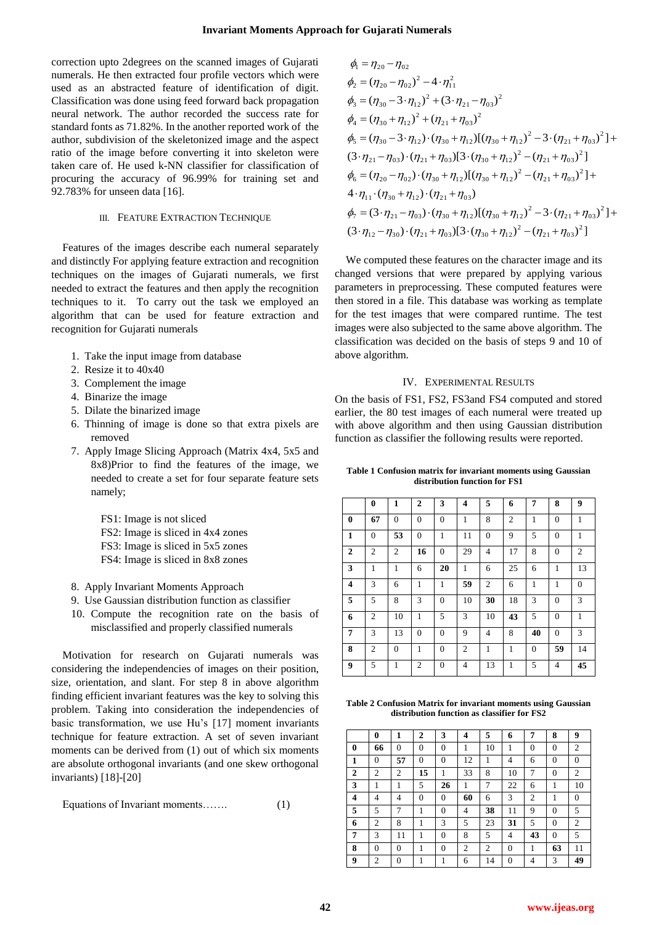correction upto 2degrees on the scanned images of Gujarati numerals. He then extracted four profile vectors which were used as an abstracted feature of identification of digit. Classification was done using feed forward back propagation neural network. The author recorded the success rate for standard fonts as 71.82%. In the another reported work of the author, subdivision of the skeletonized image and the aspect ratio of the image before converting it into skeleton were taken care of. He used k-NN classifier for classification of procuring the accuracy of 96.99% for training set and 92.783% for unseen data [16].

### III. FEATURE EXTRACTION TECHNIQUE

Features of the images describe each numeral separately and distinctly For applying feature extraction and recognition techniques on the images of Gujarati numerals, we first needed to extract the features and then apply the recognition techniques to it. To carry out the task we employed an algorithm that can be used for feature extraction and recognition for Gujarati numerals

- 1. Take the input image from database
- 2. Resize it to 40x40
- 3. Complement the image
- 4. Binarize the image
- 5. Dilate the binarized image
- 6. Thinning of image is done so that extra pixels are removed
- 7. Apply Image Slicing Approach (Matrix 4x4, 5x5 and 8x8)Prior to find the features of the image, we needed to create a set for four separate feature sets namely;
	- FS1: Image is not sliced
	- FS2: Image is sliced in 4x4 zones
	- FS3: Image is sliced in 5x5 zones
	- FS4: Image is sliced in 8x8 zones
- 8. Apply Invariant Moments Approach
- 9. Use Gaussian distribution function as classifier
- 10. Compute the recognition rate on the basis of misclassified and properly classified numerals

Motivation for research on Gujarati numerals was considering the independencies of images on their position, size, orientation, and slant. For step 8 in above algorithm finding efficient invariant features was the key to solving this problem. Taking into consideration the independencies of basic transformation, we use Hu's [17] moment invariants technique for feature extraction. A set of seven invariant moments can be derived from (1) out of which six moments are absolute orthogonal invariants (and one skew orthogonal invariants) [18]-[20]

Equations of Invariant moments……. (1)

$$
\phi_1 = \eta_{20} - \eta_{02} \n\phi_2 = (\eta_{20} - \eta_{02})^2 - 4 \cdot \eta_{11}^2 \n\phi_3 = (\eta_{30} - 3 \cdot \eta_{12})^2 + (3 \cdot \eta_{21} - \eta_{03})^2 \n\phi_4 = (\eta_{30} + \eta_{12})^2 + (\eta_{21} + \eta_{03})^2 \n\phi_5 = (\eta_{30} - 3 \cdot \eta_{12}) \cdot (\eta_{30} + \eta_{12}) [(\eta_{30} + \eta_{12})^2 - 3 \cdot (\eta_{21} + \eta_{03})^2] + \n(3 \cdot \eta_{21} - \eta_{03}) \cdot (\eta_{21} + \eta_{03}) [3 \cdot (\eta_{30} + \eta_{12})^2 - (\eta_{21} + \eta_{03})^2] \n\phi_6 = (\eta_{20} - \eta_{02}) \cdot (\eta_{30} + \eta_{12}) [(\eta_{30} + \eta_{12})^2 - (\eta_{21} + \eta_{03})^2] + \n4 \cdot \eta_{11} \cdot (\eta_{30} + \eta_{12}) \cdot (\eta_{21} + \eta_{03}) \n\phi_7 = (3 \cdot \eta_{21} - \eta_{03}) \cdot (\eta_{30} + \eta_{12}) [(\eta_{30} + \eta_{12})^2 - 3 \cdot (\eta_{21} + \eta_{03})^2] + \n(3 \cdot \eta_{12} - \eta_{30}) \cdot (\eta_{21} + \eta_{03}) [3 \cdot (\eta_{30} + \eta_{12})^2 - (\eta_{21} + \eta_{03})^2]
$$

We computed these features on the character image and its changed versions that were prepared by applying various parameters in preprocessing. These computed features were then stored in a file. This database was working as template for the test images that were compared runtime. The test images were also subjected to the same above algorithm. The classification was decided on the basis of steps 9 and 10 of above algorithm.

## IV. EXPERIMENTAL RESULTS

On the basis of FS1, FS2, FS3and FS4 computed and stored earlier, the 80 test images of each numeral were treated up with above algorithm and then using Gaussian distribution function as classifier the following results were reported.

**Table 1 Confusion matrix for invariant moments using Gaussian distribution function for FS1**

|                | $\bf{0}$       | $\mathbf{1}$   | $\mathbf{2}$   | 3                | 4            | 5              | 6            | 7            | 8              | 9                |
|----------------|----------------|----------------|----------------|------------------|--------------|----------------|--------------|--------------|----------------|------------------|
| $\bf{0}$       | 67             | $\mathbf{0}$   | $\mathbf{0}$   | $\mathbf{0}$     | $\mathbf{1}$ | 8              | 2            | 1            | $\mathbf{0}$   | $\mathbf{1}$     |
| $\mathbf{1}$   | $\overline{0}$ | 53             | $\mathbf{0}$   | $\mathbf{1}$     | 11           | $\overline{0}$ | 9            | 5            | $\overline{0}$ | $\mathbf{1}$     |
| $\overline{2}$ | 2              | $\overline{c}$ | 16             | $\mathbf{0}$     | 29           | 4              | 17           | 8            | $\mathbf{0}$   | $\overline{2}$   |
| 3              | 1              | $\mathbf{1}$   | 6              | 20               | 1            | 6              | 25           | 6            | 1              | 13               |
| 4              | 3              | 6              | 1              | 1                | 59           | 2              | 6            | 1            | 1              | $\boldsymbol{0}$ |
| 5              | 5              | 8              | 3              | $\overline{0}$   | 10           | 30             | 18           | 3            | $\mathbf{0}$   | 3                |
| 6              | $\overline{2}$ | 10             | $\mathbf{1}$   | 5                | 3            | 10             | 43           | 5            | $\overline{0}$ | 1                |
| 7              | 3              | 13             | $\mathbf{0}$   | $\mathbf{0}$     | 9            | 4              | 8            | 40           | $\mathbf{0}$   | 3                |
| 8              | 2              | $\mathbf{0}$   | $\mathbf{1}$   | $\mathbf{0}$     | 2            | 1              | $\mathbf{1}$ | $\mathbf{0}$ | 59             | 14               |
| 9              | 5              | $\mathbf{1}$   | $\overline{c}$ | $\boldsymbol{0}$ | 4            | 13             | $\mathbf{1}$ | 5            | 4              | 45               |

**Table 2 Confusion Matrix for invariant moments using Gaussian distribution function as classifier for FS2**

|   | $\bf{0}$       | 1              | $\overline{2}$ | 3        | 4  | 5  | 6        | 7              | 8              | 9              |
|---|----------------|----------------|----------------|----------|----|----|----------|----------------|----------------|----------------|
| 0 | 66             | $\theta$       | $\theta$       | $\theta$ | 1  | 10 | 1<br>ш   | $\theta$       | $\overline{0}$ | $\overline{2}$ |
| 1 | $\overline{0}$ | 57             | $\theta$       | $\theta$ | 12 |    | 4        | 6              | $\overline{0}$ | $\overline{0}$ |
| 2 | 2              | $\overline{2}$ | 15             |          | 33 | 8  | 10       | 7              | $\theta$       | $\overline{2}$ |
| 3 | 1              |                | 5              | 26       |    | 7  | 22       | 6              | 1              | 10             |
| 4 | 4              | 4              | $\theta$       | $\theta$ | 60 | 6  | 3        | $\overline{2}$ | 1              | 0              |
| 5 | 5              | 7              |                | $\theta$ | 4  | 38 | 11       | 9              | $\overline{0}$ | 5              |
| 6 | 2              | 8              |                | 3        | 5  | 23 | 31       | 5              | $\overline{0}$ | $\overline{2}$ |
| 7 | 3              | 11             | 1              | $\theta$ | 8  | 5  | 4        | 43             | $\overline{0}$ | 5              |
| 8 | $\overline{0}$ | $\mathbf{0}$   |                | $\theta$ | 2  | 2  | $\theta$ |                | 63             | 11             |
| 9 | $\overline{2}$ | $\theta$       |                |          | 6  | 14 | $\Omega$ | 4              | 3              | 49             |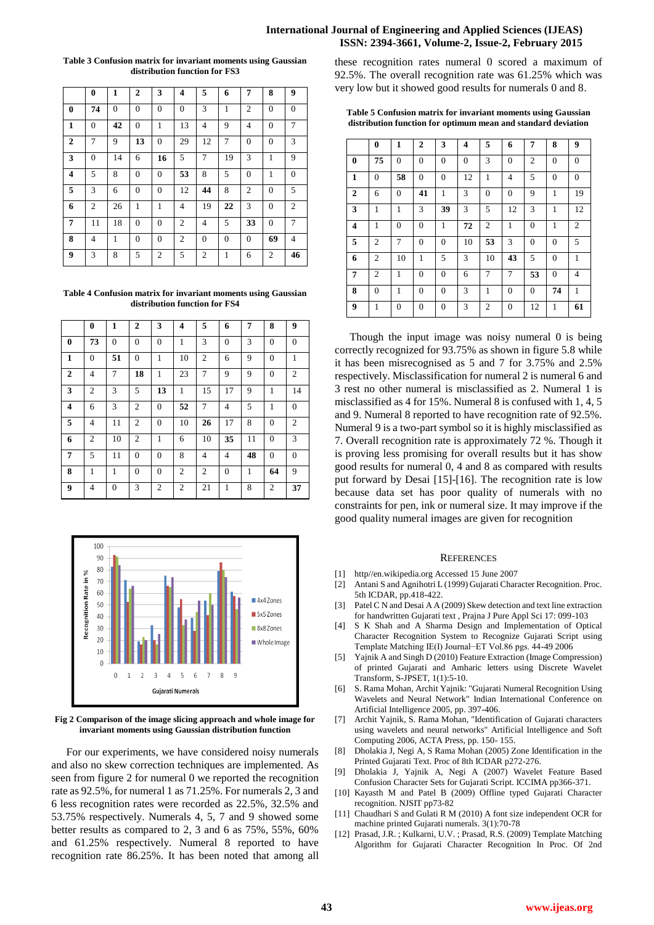## **International Journal of Engineering and Applied Sciences (IJEAS) ISSN: 2394-3661, Volume-2, Issue-2, February 2015**

#### **Table 3 Confusion matrix for invariant moments using Gaussian distribution function for FS3**

|                | 0              | 1            | $\mathbf{2}$ | 3              | 4              | 5              | 6            | 7              | 8            | 9              |
|----------------|----------------|--------------|--------------|----------------|----------------|----------------|--------------|----------------|--------------|----------------|
| $\bf{0}$       | 74             | $\mathbf{0}$ | $\mathbf{0}$ | $\mathbf{0}$   | $\mathbf{0}$   | 3              | $\mathbf{1}$ | $\overline{c}$ | $\mathbf{0}$ | $\mathbf{0}$   |
| $\mathbf{1}$   | $\mathbf{0}$   | 42           | $\mathbf{0}$ | 1              | 13             | 4              | 9            | $\overline{4}$ | $\mathbf{0}$ | 7              |
| $\overline{2}$ | 7              | 9            | 13           | $\mathbf{0}$   | 29             | 12             | 7            | $\overline{0}$ | $\mathbf{0}$ | 3              |
| 3              | $\mathbf{0}$   | 14           | 6            | 16             | 5              | 7              | 19           | 3              | $\mathbf{1}$ | 9              |
| 4              | 5              | 8            | $\mathbf{0}$ | $\overline{0}$ | 53             | 8              | 5            | $\overline{0}$ | $\mathbf{1}$ | $\mathbf{0}$   |
| 5              | 3              | 6            | $\mathbf{0}$ | $\overline{0}$ | 12             | 44             | 8            | $\overline{2}$ | $\mathbf{0}$ | 5              |
| 6              | $\overline{2}$ | 26           | $\mathbf{1}$ | $\mathbf{1}$   | 4              | 19             | 22           | 3              | $\mathbf{0}$ | $\overline{2}$ |
| 7              | 11             | 18           | $\mathbf{0}$ | $\mathbf{0}$   | 2              | 4              | 5            | 33             | $\mathbf{0}$ | 7              |
| 8              | $\overline{4}$ | 1            | $\mathbf{0}$ | $\overline{0}$ | $\overline{2}$ | $\mathbf{0}$   | $\mathbf{0}$ | $\mathbf{0}$   | 69           | $\overline{4}$ |
| 9              | 3              | 8            | 5            | $\overline{2}$ | 5              | $\overline{2}$ | $\mathbf{1}$ | 6              | 2            | 46             |

**Table 4 Confusion matrix for invariant moments using Gaussian distribution function for FS4**

|                         | $\bf{0}$       | $\mathbf{1}$ | $\overline{2}$ | 3              | $\overline{\mathbf{4}}$ | 5              | 6            | 7  | 8              | 9              |
|-------------------------|----------------|--------------|----------------|----------------|-------------------------|----------------|--------------|----|----------------|----------------|
| $\bf{0}$                | 73             | $\mathbf{0}$ | $\overline{0}$ | $\mathbf{0}$   | 1                       | 3              | $\mathbf{0}$ | 3  | $\overline{0}$ | $\mathbf{0}$   |
| $\mathbf{1}$            | $\overline{0}$ | 51           | $\overline{0}$ | 1              | 10                      | $\overline{2}$ | 6            | 9  | $\overline{0}$ | 1              |
| $\overline{2}$          | $\overline{4}$ | 7            | 18             | $\mathbf{1}$   | 23                      | $\overline{7}$ | 9            | 9  | $\overline{0}$ | $\overline{2}$ |
| 3                       | $\overline{c}$ | 3            | 5              | 13             | 1                       | 15             | 17           | 9  | 1              | 14             |
| $\overline{\mathbf{4}}$ | 6              | 3            | 2              | $\mathbf{0}$   | 52                      | 7              | 4            | 5  | $\mathbf{1}$   | $\mathbf{0}$   |
| 5                       | 4              | 11           | $\overline{2}$ | $\mathbf{0}$   | 10                      | 26             | 17           | 8  | $\overline{0}$ | $\overline{2}$ |
| 6                       | $\overline{c}$ | 10           | $\overline{2}$ | $\mathbf{1}$   | 6                       | 10             | 35           | 11 | $\overline{0}$ | 3              |
| 7                       | 5              | 11           | $\Omega$       | $\mathbf{0}$   | 8                       | 4              | 4            | 48 | $\overline{0}$ | $\mathbf{0}$   |
| 8                       | 1              | $\mathbf{1}$ | $\overline{0}$ | $\overline{0}$ | $\overline{c}$          | $\overline{2}$ | $\mathbf{0}$ | 1  | 64             | 9              |
| 9                       | $\overline{4}$ | $\mathbf{0}$ | 3              | $\overline{2}$ | 2                       | 21             | 1            | 8  | 2              | 37             |



**Fig 2 Comparison of the image slicing approach and whole image for invariant moments using Gaussian distribution function**

For our experiments, we have considered noisy numerals and also no skew correction techniques are implemented. As seen from figure 2 for numeral 0 we reported the recognition rate as 92.5%, for numeral 1 as 71.25%. For numerals 2, 3 and 6 less recognition rates were recorded as 22.5%, 32.5% and 53.75% respectively. Numerals 4, 5, 7 and 9 showed some better results as compared to 2, 3 and 6 as 75%, 55%, 60% and 61.25% respectively. Numeral 8 reported to have recognition rate 86.25%. It has been noted that among all

these recognition rates numeral 0 scored a maximum of 92.5%. The overall recognition rate was 61.25% which was very low but it showed good results for numerals 0 and 8.

**Table 5 Confusion matrix for invariant moments using Gaussian distribution function for optimum mean and standard deviation**

|                         | $\bf{0}$       | $\mathbf{1}$   | $\mathbf{2}$   | 3              | 4        | 5              | 6              | 7              | 8              | 9              |
|-------------------------|----------------|----------------|----------------|----------------|----------|----------------|----------------|----------------|----------------|----------------|
| $\bf{0}$                | 75             | $\mathbf{0}$   | $\overline{0}$ | $\mathbf{0}$   | $\Omega$ | 3              | $\mathbf{0}$   | $\overline{2}$ | $\mathbf{0}$   | $\mathbf{0}$   |
| $\mathbf{1}$            | $\mathbf{0}$   | 58             | $\overline{0}$ | $\overline{0}$ | 12       | $\mathbf{1}$   | 4              | 5              | $\overline{0}$ | $\overline{0}$ |
| $\boldsymbol{2}$        | 6              | $\overline{0}$ | 41             | $\mathbf{1}$   | 3        | $\overline{0}$ | $\overline{0}$ | 9              | $\mathbf{1}$   | 19             |
| 3                       | 1              | 1              | 3              | 39             | 3        | 5              | 12             | 3              | 1              | 12             |
| $\overline{\mathbf{4}}$ | 1              | $\mathbf{0}$   | $\mathbf{0}$   | $\mathbf{1}$   | 72       | $\overline{2}$ | 1              | $\mathbf{0}$   | 1              | $\overline{2}$ |
| 5                       | $\overline{2}$ | 7              | $\overline{0}$ | $\mathbf{0}$   | 10       | 53             | 3              | $\mathbf{0}$   | $\mathbf{0}$   | 5              |
| 6                       | $\overline{2}$ | 10             | 1              | 5              | 3        | 10             | 43             | 5              | $\Omega$       | 1              |
| 7                       | $\overline{2}$ | 1              | $\mathbf{0}$   | $\mathbf{0}$   | 6        | 7              | 7              | 53             | 0              | 4              |
| 8                       | $\mathbf{0}$   | 1              | $\mathbf{0}$   | $\mathbf{0}$   | 3        | 1              | $\mathbf{0}$   | $\mathbf{0}$   | 74             | 1              |
| $\boldsymbol{9}$        | 1              | $\mathbf{0}$   | $\overline{0}$ | $\mathbf{0}$   | 3        | $\overline{2}$ | $\mathbf{0}$   | 12             | 1              | 61             |

Though the input image was noisy numeral 0 is being correctly recognized for 93.75% as shown in figure 5.8 while it has been misrecognised as 5 and 7 for 3.75% and 2.5% respectively. Misclassification for numeral 2 is numeral 6 and 3 rest no other numeral is misclassified as 2. Numeral 1 is misclassified as 4 for 15%. Numeral 8 is confused with 1, 4, 5 and 9. Numeral 8 reported to have recognition rate of 92.5%. Numeral 9 is a two-part symbol so it is highly misclassified as 7. Overall recognition rate is approximately 72 %. Though it is proving less promising for overall results but it has show good results for numeral 0, 4 and 8 as compared with results put forward by Desai [15]-[16]. The recognition rate is low because data set has poor quality of numerals with no constraints for pen, ink or numeral size. It may improve if the good quality numeral images are given for recognition

#### **REFERENCES**

- [1] http//en.wikipedia.org Accessed 15 June 2007
- [2] Antani S and Agnihotri L (1999) Gujarati Character Recognition. Proc. 5th ICDAR, pp.418-422.
- [3] Patel C N and Desai A A (2009) Skew detection and text line extraction for handwritten Gujarati text , Prajna J Pure Appl Sci 17: 099-103
- [4] S K Shah and A Sharma Design and Implementation of Optical Character Recognition System to Recognize Gujarati Script using Template Matching IE(I) Journal−ET Vol.86 pgs. 44-49 2006
- [5] Yajnik A and Singh D (2010) Feature Extraction (Image Compression) of printed Gujarati and Amharic letters using Discrete Wavelet Transform, S-JPSET, 1(1):5-10.
- [6] S. Rama Mohan, Archit Yajnik: "Gujarati Numeral Recognition Using Wavelets and Neural Network" Indian International Conference on Artificial Intelligence 2005, pp. 397-406.
- [7] Archit Yajnik, S. Rama Mohan, "Identification of Gujarati characters using wavelets and neural networks" Artificial Intelligence and Soft Computing 2006, ACTA Press, pp. 150- 155.
- [8] Dholakia J, Negi A, S Rama Mohan (2005) Zone Identification in the Printed Gujarati Text. Proc of 8th ICDAR p272-276.
- [9] Dholakia J, Yajnik A, Negi A (2007) Wavelet Feature Based Confusion Character Sets for Gujarati Script. ICCIMA pp366-371.
- [10] Kayasth M and Patel B (2009) Offline typed Gujarati Character recognition. NJSIT pp73-82
- [11] Chaudhari S and Gulati R M (2010) A font size independent OCR for machine printed Gujarati numerals. 3(1):70-78
- [12] Prasad, J.R. ; Kulkarni, U.V. ; Prasad, R.S. (2009) Template Matching Algorithm for Gujarati Character Recognition In Proc. Of 2nd